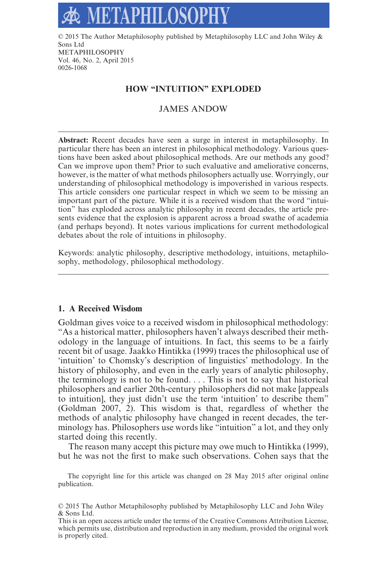METAPHILOSOPH

© 2015 The Author Metaphilosophy published by Metaphilosophy LLC and John Wiley & Sons Ltd METAPHILOSOPHY Vol. 46, No. 2, April 2015 0026-1068

# **HOW "INTUITION" EXPLODED**

JAMES ANDOW

**Abstract:** Recent decades have seen a surge in interest in metaphilosophy. In particular there has been an interest in philosophical methodology. Various questions have been asked about philosophical methods. Are our methods any good? Can we improve upon them? Prior to such evaluative and ameliorative concerns, however, is the matter of what methods philosophers actually use. Worryingly, our understanding of philosophical methodology is impoverished in various respects. This article considers one particular respect in which we seem to be missing an important part of the picture. While it is a received wisdom that the word "intuition" has exploded across analytic philosophy in recent decades, the article presents evidence that the explosion is apparent across a broad swathe of academia (and perhaps beyond). It notes various implications for current methodological debates about the role of intuitions in philosophy.

Keywords: analytic philosophy, descriptive methodology, intuitions, metaphilosophy, methodology, philosophical methodology.

# **1. A Received Wisdom**

Goldman gives voice to a received wisdom in philosophical methodology: "As a historical matter, philosophers haven't always described their methodology in the language of intuitions. In fact, this seems to be a fairly recent bit of usage. Jaakko Hintikka (1999) traces the philosophical use of 'intuition' to Chomsky's description of linguistics' methodology. In the history of philosophy, and even in the early years of analytic philosophy, the terminology is not to be found.... This is not to say that historical philosophers and earlier 20th-century philosophers did not make [appeals to intuition], they just didn't use the term 'intuition' to describe them" (Goldman 2007, 2). This wisdom is that, regardless of whether the methods of analytic philosophy have changed in recent decades, the terminology has. Philosophers use words like "intuition" a lot, and they only started doing this recently.

The reason many accept this picture may owe much to Hintikka (1999), but he was not the first to make such observations. Cohen says that the

The copyright line for this article was changed on 28 May 2015 after original online publication.

<sup>© 2015</sup> The Author Metaphilosophy published by Metaphilosophy LLC and John Wiley & Sons Ltd.

This is an open access article under the terms of the Creative Commons Attribution License, which permits use, distribution and reproduction in any medium, provided the original work is properly cited.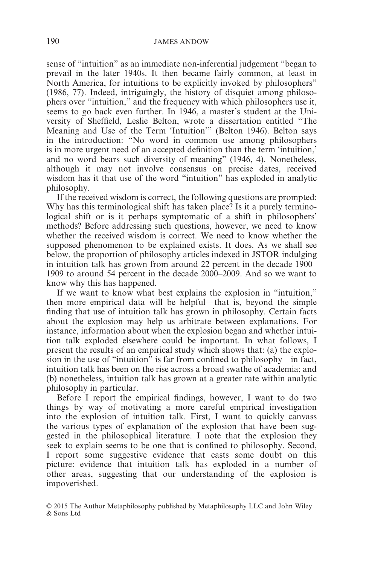sense of "intuition" as an immediate non-inferential judgement "began to prevail in the later 1940s. It then became fairly common, at least in North America, for intuitions to be explicitly invoked by philosophers" (1986, 77). Indeed, intriguingly, the history of disquiet among philosophers over "intuition," and the frequency with which philosophers use it, seems to go back even further. In 1946, a master's student at the University of Sheffield, Leslie Belton, wrote a dissertation entitled "The Meaning and Use of the Term 'Intuition'" (Belton 1946). Belton says in the introduction: "No word in common use among philosophers is in more urgent need of an accepted definition than the term 'intuition,' and no word bears such diversity of meaning" (1946, 4). Nonetheless, although it may not involve consensus on precise dates, received wisdom has it that use of the word "intuition" has exploded in analytic philosophy.

If the received wisdom is correct, the following questions are prompted: Why has this terminological shift has taken place? Is it a purely terminological shift or is it perhaps symptomatic of a shift in philosophers' methods? Before addressing such questions, however, we need to know whether the received wisdom is correct. We need to know whether the supposed phenomenon to be explained exists. It does. As we shall see below, the proportion of philosophy articles indexed in JSTOR indulging in intuition talk has grown from around 22 percent in the decade 1900– 1909 to around 54 percent in the decade 2000–2009. And so we want to know why this has happened.

If we want to know what best explains the explosion in "intuition," then more empirical data will be helpful—that is, beyond the simple finding that use of intuition talk has grown in philosophy. Certain facts about the explosion may help us arbitrate between explanations. For instance, information about when the explosion began and whether intuition talk exploded elsewhere could be important. In what follows, I present the results of an empirical study which shows that: (a) the explosion in the use of "intuition" is far from confined to philosophy—in fact, intuition talk has been on the rise across a broad swathe of academia; and (b) nonetheless, intuition talk has grown at a greater rate within analytic philosophy in particular.

Before I report the empirical findings, however, I want to do two things by way of motivating a more careful empirical investigation into the explosion of intuition talk. First, I want to quickly canvass the various types of explanation of the explosion that have been suggested in the philosophical literature. I note that the explosion they seek to explain seems to be one that is confined to philosophy. Second, I report some suggestive evidence that casts some doubt on this picture: evidence that intuition talk has exploded in a number of other areas, suggesting that our understanding of the explosion is impoverished.

<sup>© 2015</sup> The Author Metaphilosophy published by Metaphilosophy LLC and John Wiley & Sons Ltd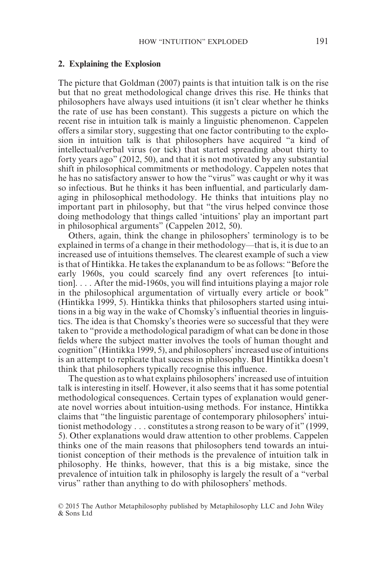#### **2. Explaining the Explosion**

The picture that Goldman (2007) paints is that intuition talk is on the rise but that no great methodological change drives this rise. He thinks that philosophers have always used intuitions (it isn't clear whether he thinks the rate of use has been constant). This suggests a picture on which the recent rise in intuition talk is mainly a linguistic phenomenon. Cappelen offers a similar story, suggesting that one factor contributing to the explosion in intuition talk is that philosophers have acquired "a kind of intellectual/verbal virus (or tick) that started spreading about thirty to forty years ago" (2012, 50), and that it is not motivated by any substantial shift in philosophical commitments or methodology. Cappelen notes that he has no satisfactory answer to how the "virus" was caught or why it was so infectious. But he thinks it has been influential, and particularly damaging in philosophical methodology. He thinks that intuitions play no important part in philosophy, but that "the virus helped convince those doing methodology that things called 'intuitions' play an important part in philosophical arguments" (Cappelen 2012, 50).

Others, again, think the change in philosophers' terminology is to be explained in terms of a change in their methodology—that is, it is due to an increased use of intuitions themselves. The clearest example of such a view is that of Hintikka. He takes the explanandum to be as follows: "Before the early 1960s, you could scarcely find any overt references [to intuition].... After the mid-1960s, you will find intuitions playing a major role in the philosophical argumentation of virtually every article or book" (Hintikka 1999, 5). Hintikka thinks that philosophers started using intuitions in a big way in the wake of Chomsky's influential theories in linguistics. The idea is that Chomsky's theories were so successful that they were taken to "provide a methodological paradigm of what can be done in those fields where the subject matter involves the tools of human thought and cognition" (Hintikka 1999, 5), and philosophers' increased use of intuitions is an attempt to replicate that success in philosophy. But Hintikka doesn't think that philosophers typically recognise this influence.

The question as to what explains philosophers' increased use of intuition talk is interesting in itself. However, it also seems that it has some potential methodological consequences. Certain types of explanation would generate novel worries about intuition-using methods. For instance, Hintikka claims that "the linguistic parentage of contemporary philosophers' intuitionist methodology... constitutes a strong reason to be wary of it" (1999, 5). Other explanations would draw attention to other problems. Cappelen thinks one of the main reasons that philosophers tend towards an intuitionist conception of their methods is the prevalence of intuition talk in philosophy. He thinks, however, that this is a big mistake, since the prevalence of intuition talk in philosophy is largely the result of a "verbal virus" rather than anything to do with philosophers' methods.

<sup>© 2015</sup> The Author Metaphilosophy published by Metaphilosophy LLC and John Wiley & Sons Ltd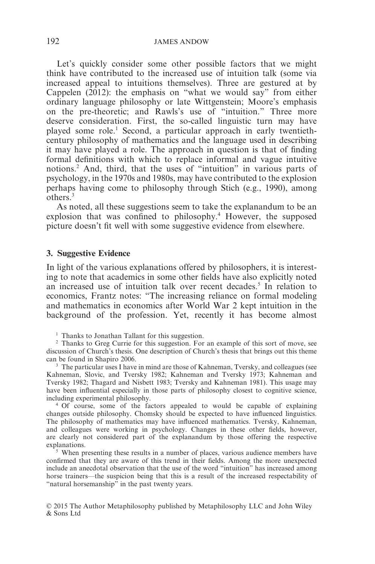Let's quickly consider some other possible factors that we might think have contributed to the increased use of intuition talk (some via increased appeal to intuitions themselves). Three are gestured at by Cappelen  $(2012)$ : the emphasis on "what we would say" from either ordinary language philosophy or late Wittgenstein; Moore's emphasis on the pre-theoretic; and Rawls's use of "intuition." Three more deserve consideration. First, the so-called linguistic turn may have played some role.1 Second, a particular approach in early twentiethcentury philosophy of mathematics and the language used in describing it may have played a role. The approach in question is that of finding formal definitions with which to replace informal and vague intuitive notions.2 And, third, that the uses of "intuition" in various parts of psychology, in the 1970s and 1980s, may have contributed to the explosion perhaps having come to philosophy through Stich (e.g., 1990), among others<sup>3</sup>

As noted, all these suggestions seem to take the explanandum to be an explosion that was confined to philosophy.4 However, the supposed picture doesn't fit well with some suggestive evidence from elsewhere.

### **3. Suggestive Evidence**

In light of the various explanations offered by philosophers, it is interesting to note that academics in some other fields have also explicitly noted an increased use of intuition talk over recent decades.<sup>5</sup> In relation to economics, Frantz notes: "The increasing reliance on formal modeling and mathematics in economics after World War 2 kept intuition in the background of the profession. Yet, recently it has become almost

<sup>1</sup> Thanks to Jonathan Tallant for this suggestion.

<sup>2</sup> Thanks to Greg Currie for this suggestion. For an example of this sort of move, see discussion of Church's thesis. One description of Church's thesis that brings out this theme can be found in Shapiro 2006.

<sup>3</sup> The particular uses I have in mind are those of Kahneman, Tversky, and colleagues (see Kahneman, Slovic, and Tversky 1982; Kahneman and Tversky 1973; Kahneman and Tversky 1982; Thagard and Nisbett 1983; Tversky and Kahneman 1981). This usage may have been influential especially in those parts of philosophy closest to cognitive science, including experimental philosophy.

<sup>4</sup> Of course, some of the factors appealed to would be capable of explaining changes outside philosophy. Chomsky should be expected to have influenced linguistics. The philosophy of mathematics may have influenced mathematics. Tversky, Kahneman, and colleagues were working in psychology. Changes in these other fields, however, are clearly not considered part of the explanandum by those offering the respective explanations.

 $5\sigma$  When presenting these results in a number of places, various audience members have confirmed that they are aware of this trend in their fields. Among the more unexpected include an anecdotal observation that the use of the word "intuition" has increased among horse trainers—the suspicion being that this is a result of the increased respectability of "natural horsemanship" in the past twenty years.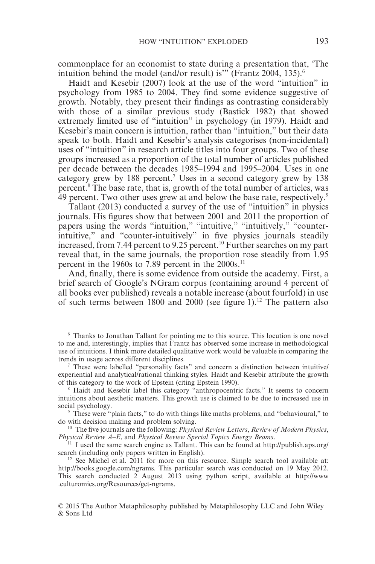commonplace for an economist to state during a presentation that, 'The intuition behind the model (and/or result) is" (Frantz 2004, 135).<sup>6</sup>

Haidt and Kesebir (2007) look at the use of the word "intuition" in psychology from 1985 to 2004. They find some evidence suggestive of growth. Notably, they present their findings as contrasting considerably with those of a similar previous study (Bastick 1982) that showed extremely limited use of "intuition" in psychology (in 1979). Haidt and Kesebir's main concern is intuition, rather than "intuition," but their data speak to both. Haidt and Kesebir's analysis categorises (non-incidental) uses of "intuition" in research article titles into four groups. Two of these groups increased as a proportion of the total number of articles published per decade between the decades 1985–1994 and 1995–2004. Uses in one category grew by 188 percent.<sup>7</sup> Uses in a second category grew by 138 percent.8 The base rate, that is, growth of the total number of articles, was 49 percent. Two other uses grew at and below the base rate, respectively.<sup>9</sup>

Tallant (2013) conducted a survey of the use of "intuition" in physics journals. His figures show that between 2001 and 2011 the proportion of papers using the words "intuition," "intuitive," "intuitively," "counterintuitive," and "counter-intuitively" in five physics journals steadily increased, from 7.44 percent to 9.25 percent.<sup>10</sup> Further searches on my part reveal that, in the same journals, the proportion rose steadily from 1.95 percent in the 1960s to 7.89 percent in the 2000s.<sup>11</sup>

And, finally, there is some evidence from outside the academy. First, a brief search of Google's NGram corpus (containing around 4 percent of all books ever published) reveals a notable increase (about fourfold) in use of such terms between 1800 and 2000 (see figure 1).12 The pattern also

<sup>6</sup> Thanks to Jonathan Tallant for pointing me to this source. This locution is one novel to me and, interestingly, implies that Frantz has observed some increase in methodological use of intuitions. I think more detailed qualitative work would be valuable in comparing the trends in usage across different disciplines.

<sup>7</sup> These were labelled "personality facts" and concern a distinction between intuitive/ experiential and analytical/rational thinking styles. Haidt and Kesebir attribute the growth of this category to the work of Epstein (citing Epstein 1990).

<sup>8</sup> Haidt and Kesebir label this category "anthropocentric facts." It seems to concern intuitions about aesthetic matters. This growth use is claimed to be due to increased use in social psychology.

<sup>9</sup> These were "plain facts," to do with things like maths problems, and "behavioural," to do with decision making and problem solving.

<sup>10</sup> The five journals are the following: *Physical Review Letters*, *Review of Modern Physics*, *Physical Review A–E*, and *Physical Review Special Topics Energy Beams*.

 $11$  I used the same search engine as Tallant. This can be found at http://publish.aps.org/ search (including only papers written in English).

 $12$  See Michel et al. 2011 for more on this resource. Simple search tool available at: http://books.google.com/ngrams. This particular search was conducted on 19 May 2012. This search conducted 2 August 2013 using python script, available at http://www .culturomics.org/Resources/get-ngrams.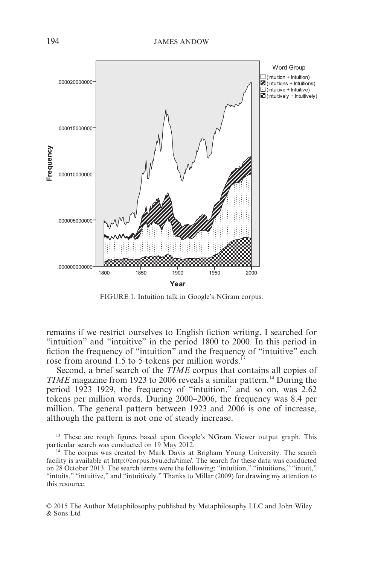

FIGURE 1. Intuition talk in Google's NGram corpus.

remains if we restrict ourselves to English fiction writing. I searched for "intuition" and "intuitive" in the period 1800 to 2000. In this period in fiction the frequency of "intuition" and the frequency of "intuitive" each rose from around 1.5 to 5 tokens per million words.<sup>13</sup>

Second, a brief search of the *TIME* corpus that contains all copies of *TIME* magazine from 1923 to 2006 reveals a similar pattern.<sup>14</sup> During the period 1923–1929, the frequency of "intuition," and so on, was 2.62 tokens per million words. During 2000–2006, the frequency was 8.4 per million. The general pattern between 1923 and 2006 is one of increase, although the pattern is not one of steady increase.

<sup>13</sup> These are rough figures based upon Google's NGram Viewer output graph. This particular search was conducted on 19 May 2012.

<sup>14</sup> The corpus was created by Mark Davis at Brigham Young University. The search facility is available at http://corpus.byu.edu/time/. The search for these data was conducted on 28 October 2013. The search terms were the following: "intuition," "intuitions," "intuit," "intuits," "intuitive," and "intuitively." Thanks to Millar (2009) for drawing my attention to this resource.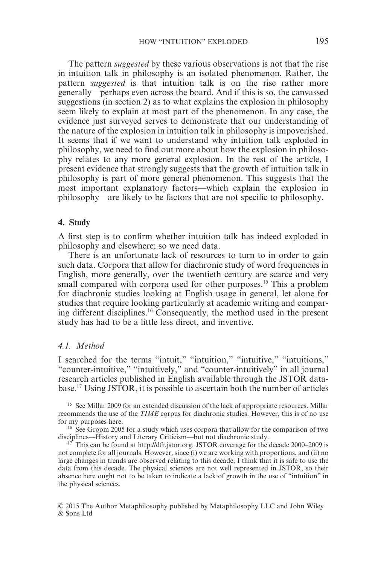The pattern *suggested* by these various observations is not that the rise in intuition talk in philosophy is an isolated phenomenon. Rather, the pattern *suggested* is that intuition talk is on the rise rather more generally—perhaps even across the board. And if this is so, the canvassed suggestions (in section 2) as to what explains the explosion in philosophy seem likely to explain at most part of the phenomenon. In any case, the evidence just surveyed serves to demonstrate that our understanding of the nature of the explosion in intuition talk in philosophy is impoverished. It seems that if we want to understand why intuition talk exploded in philosophy, we need to find out more about how the explosion in philosophy relates to any more general explosion. In the rest of the article, I present evidence that strongly suggests that the growth of intuition talk in philosophy is part of more general phenomenon. This suggests that the most important explanatory factors—which explain the explosion in philosophy—are likely to be factors that are not specific to philosophy.

## **4. Study**

A first step is to confirm whether intuition talk has indeed exploded in philosophy and elsewhere; so we need data.

There is an unfortunate lack of resources to turn to in order to gain such data. Corpora that allow for diachronic study of word frequencies in English, more generally, over the twentieth century are scarce and very small compared with corpora used for other purposes.<sup>15</sup> This a problem for diachronic studies looking at English usage in general, let alone for studies that require looking particularly at academic writing and comparing different disciplines.16 Consequently, the method used in the present study has had to be a little less direct, and inventive.

### *4.1. Method*

I searched for the terms "intuit," "intuition," "intuitive," "intuitions," "counter-intuitive," "intuitively," and "counter-intuitively" in all journal research articles published in English available through the JSTOR database.17 Using JSTOR, it is possible to ascertain both the number of articles

<sup>15</sup> See Millar 2009 for an extended discussion of the lack of appropriate resources. Millar recommends the use of the *TIME* corpus for diachronic studies. However, this is of no use for my purposes here.

<sup>16</sup> See Groom 2005 for a study which uses corpora that allow for the comparison of two disciplines—History and Literary Criticism—but not diachronic study.

 $7$  This can be found at http://dfr.jstor.org. JSTOR coverage for the decade 2000–2009 is not complete for all journals. However, since (i) we are working with proportions, and (ii) no large changes in trends are observed relating to this decade, I think that it is safe to use the data from this decade. The physical sciences are not well represented in JSTOR, so their absence here ought not to be taken to indicate a lack of growth in the use of "intuition" in the physical sciences.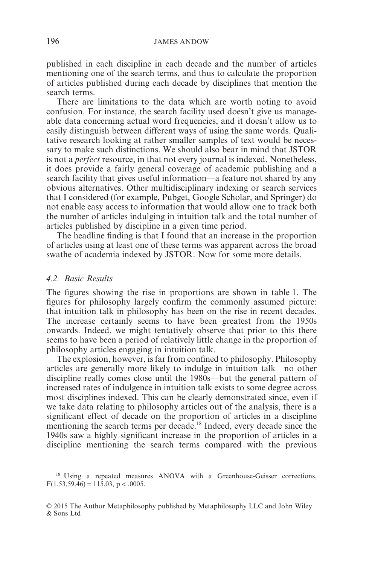published in each discipline in each decade and the number of articles mentioning one of the search terms, and thus to calculate the proportion of articles published during each decade by disciplines that mention the search terms.

There are limitations to the data which are worth noting to avoid confusion. For instance, the search facility used doesn't give us manageable data concerning actual word frequencies, and it doesn't allow us to easily distinguish between different ways of using the same words. Qualitative research looking at rather smaller samples of text would be necessary to make such distinctions. We should also bear in mind that JSTOR is not a *perfect* resource, in that not every journal is indexed. Nonetheless, it does provide a fairly general coverage of academic publishing and a search facility that gives useful information—a feature not shared by any obvious alternatives. Other multidisciplinary indexing or search services that I considered (for example, Pubget, Google Scholar, and Springer) do not enable easy access to information that would allow one to track both the number of articles indulging in intuition talk and the total number of articles published by discipline in a given time period.

The headline finding is that I found that an increase in the proportion of articles using at least one of these terms was apparent across the broad swathe of academia indexed by JSTOR. Now for some more details.

### *4.2. Basic Results*

The figures showing the rise in proportions are shown in table 1. The figures for philosophy largely confirm the commonly assumed picture: that intuition talk in philosophy has been on the rise in recent decades. The increase certainly seems to have been greatest from the 1950s onwards. Indeed, we might tentatively observe that prior to this there seems to have been a period of relatively little change in the proportion of philosophy articles engaging in intuition talk.

The explosion, however, is far from confined to philosophy. Philosophy articles are generally more likely to indulge in intuition talk—no other discipline really comes close until the 1980s—but the general pattern of increased rates of indulgence in intuition talk exists to some degree across most disciplines indexed. This can be clearly demonstrated since, even if we take data relating to philosophy articles out of the analysis, there is a significant effect of decade on the proportion of articles in a discipline mentioning the search terms per decade.18 Indeed, every decade since the 1940s saw a highly significant increase in the proportion of articles in a discipline mentioning the search terms compared with the previous

<sup>18</sup> Using a repeated measures ANOVA with a Greenhouse-Geisser corrections,  $F(1.53,59.46) = 115.03$ , p < .0005.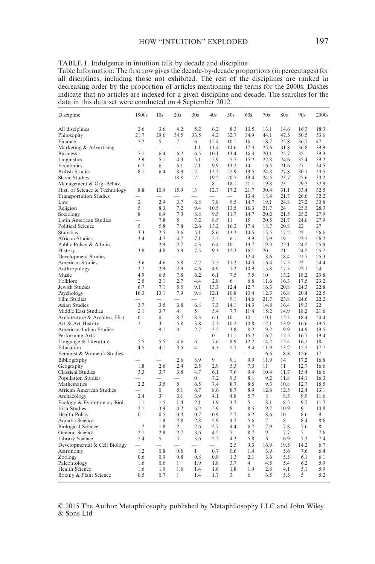TABLE 1. Indulgence in intuition talk by decade and discipline

Table Information: The first row gives the decade-by-decade proportions (in percentages) for all disciplines, including those not exhibited. The rest of the disciplines are ranked in decreasing order by the proportion of articles mentioning the terms for the 2000s. Dashes indicate that no articles are indexed for a given discipline and decade. The searches for the data in this data set were conducted on 4 September 2012.

| Discipline                               | 1900s                 | 10s               | 20s      | 30s          | 40s          | 50s           | 60s         | 70s         | 80s         | 90s          | 2000s        |
|------------------------------------------|-----------------------|-------------------|----------|--------------|--------------|---------------|-------------|-------------|-------------|--------------|--------------|
| All disciplines                          | 2.6                   | 3.6               | 4.2      | 5.2          | 6.2          | 8.3           | 10.5        | 13.1        | 14.6        | 16.3         | 18.3         |
| Philosophy                               | 21.7                  | 29.6              | 34.5     | 33.5         | 4.2          | 32.7          | 34.9        | 44.1        | 47.5        | 50.5         | 53.6         |
| Finance                                  | 7.2                   | 5                 | 7        | 6            | 12.4         | 10.1          | 16          | 18.7        | 25.8        | 36.7         | 47           |
| Marketing & Advertising                  |                       |                   |          | 11.1         | 11.4         | 14.6          | 17.3        | 25.6        | 31.8        | 36.8         | 39.9         |
| <b>Business</b>                          | 7.1                   | 6.4               | 6.2      | 6.5          | 10.1         | 13.4          | 16.3        | 20.1        | 25.7        | 32           | 39.3         |
| Linguistics                              | 3.9                   | 5.1               | 4.3      | 5.1          | 5.9          | 5.7           | 15.2        | 22.8        | 24.6        | 32.4         | 39.2         |
| Economics                                | 6.7                   | 6                 | 6.1      | 7.1          | 9.9          | 13.2          | 14          | 16.5        | 21.6        | 27           | 34.5         |
| <b>British Studies</b>                   | 8.1                   | 6.4               | 8.9      | 12           | 13.3         | 22.9          | 19.5        | 24.8        | 27.8        | 30.1         | 33.5         |
| <b>Slavic Studies</b>                    |                       |                   | 18.8     | 17           | 19.2         | 20.7          | 19.4        | 24.5        | 23.7        | 27.6         | 33.2         |
| Management & Org. Behav.                 |                       |                   |          |              | 8            | 18.1          | 21.1        | 19.8        | 23          | 29.2         | 32.9         |
| Hist. of Science & Technology            | 8.8                   | 10.9              | 15.9     | 13           | 12.7         | 17.2          | 21.7        | 30.4        | 31.1        | 33.4         | 32.5         |
| <b>Transportation Studies</b>            |                       |                   |          |              |              |               | 13.4        | 18.4        | 21.7        | 26.6         | 32.2         |
| Law                                      | $\overline{c}$        | 2.9               | 3.7      | 6.8          | 7.8          | 9.5           | 14.7        | 19.1        | 24.8        | 27.2         | 30.8         |
| Religion                                 | 5                     | 8.3               | 7.2      | 9.4          | 10.5         | 13.5          | 16.3        | 21.7        | 24          | 25.3         | 28.3         |
| Sociology                                | 8                     | 6.9               | 7.3      | 8.8          | 9.5          | 11.7          | 14.7        | 20.2        | 21.5        | 25.2         | 27.9         |
| Latin American Studies                   |                       | 7.8               | 5        | 7.2          | 8.5          | 11            | 15          | 20.5        | 21.7        | 24.6         | 27.9         |
| <b>Political Science</b>                 | 5                     | 5.8               | 7.8      | 12.6         | 13.2         | 16.2          | 17.4        | 18.7        | 20.8        | 22           | 27           |
| <b>Statistics</b>                        | 3.3                   | 2.5               | 3.6      | 5.1          | 8.6          | 13.2          | 14.5        | 15.5        | 17.2        | 22           | 26.6         |
| African Studies                          | 3.4                   | 4.7               | 4.7      | 7.1          | 5.5          | 6.1           | 9.9         | 15.9        | 19          | 22.5         | 26.2         |
| Public Policy & Admin.                   |                       | 2.9               | 2.7      | 4.3          | 6.4          | 10            | 13.7        | 19.3        | 22.1        | 24.2         | 25.9         |
| History                                  | 3.8                   | 4.8               | 5.9      | 7.5          | 9.3          | 12.3          | 16.1        | 20          | 21          | 24.2         | 25.7         |
| Development Studies                      |                       |                   |          |              |              | $\frac{1}{2}$ | 12.4        | 8.6         | 18.4        | 21.7         | 25.3         |
| American Studies                         | 3.6                   | 4.6               | 5.8      | 7.2          | 7.5          | 11.2          | 14.3        | 16.4        | 17.5        | 22           | 24.4         |
| Anthropology                             | 2.7                   | 2.9               | 2.9      | 4.6          | 4.9          | 7.2           | 10.9        | 15.8        | 17.3        | 22.1         | 24           |
| Music                                    | 4.9                   | 6.5               | 7.8      | 6.2          | 6.1          | 7.5           | 7.5         | 10          | 13.2        | 18.2         | 23.8         |
| Folklore                                 | 2.5                   | 2.1               | 2.7      | 4.4          | 2.8          | 6             | 6.8         | 11.6        | 16.3        | 17.5         | 23.2         |
| Jewish Studies                           | 6.7                   | 7.1               | 5.5      | 9.1          | 13.3         | 12.4          | 12.7        | 16.3        | 20.8        | 24.3         | 22.8         |
| Psychology                               | 16.3                  | 13.1              | 7.9      | 9.8          | 12.1         | 10.8          | 13.4        | 12.3        | 16.8        | 20.4         | 22.5         |
| Film Studies                             |                       |                   |          |              | 5            | 9.1           | 14.6        | 21.7        | 23.8        | 24.6         | 22.2         |
| Asian Studies                            | 3.7                   | 3.5               | 3.8      | 6.8          | 7.3          | 14.1          | 14.3        | 14.8        | 16.4        | 19.3         | 22           |
| Middle East Studies                      | 2.1                   | 3.7               | 4        | 5            | 5.4          | 7.7           | 11.4        | 15.2        | 14.9        | 18.2         | 21.6         |
| Architecture & Architec. Hist.           | $\boldsymbol{0}$<br>2 | $\mathbf{0}$<br>3 | 8.7      | 8.3          | 6.1          | 10            | 10          | 10.1        | 15.3        | 18.4         | 20.4         |
| Art & Art History                        | ÷,                    | 9.1               | 5.8<br>0 | 3.8<br>2.7   | 7.3<br>3.5   | 10.2<br>3.8   | 10.8<br>8.2 | 12.1<br>9.2 | 13.9<br>9.9 | 16.6<br>14.9 | 19.5<br>19.5 |
| American Indian Studies                  |                       |                   |          |              | $\mathbf{0}$ | 11.1          | 15.2        | 16.7        | 12.5        | 16.7         | 19.4         |
| Performing Arts<br>Language & Literature | 5.5                   | 5.5               | 4.6      | 6            | 7.6          | 8.9           | 12.2        | 14.2        | 15.4        | 16.2         | 18           |
| Education                                | 4.5                   | 4.1               | 3.5      | 4            | 4.3          | 5.7           | 9.4         | 11.9        | 13.2        | 15.5         | 17.7         |
| Feminist & Women's Studies               |                       |                   |          |              |              |               |             | 6.6         | 8.8         | 12.6         | 17           |
| Bibliography                             |                       |                   | 2.6      | 8.9          | 9            | 9.1           | 9.9         | 11.9        | 14          | 17.2         | 16.8         |
| Geography                                | 1.8                   | 2.6               | 2.4      | 2.5          | 2.9          | 5.3           | 7.3         | 11          | 11          | 12.7         | 16.6         |
| <b>Classical Studies</b>                 | 3.3                   | 3.7               | 3.8      | 4.7          | 6.1          | 7.6           | 9.4         | 10.4        | 11.7        | 15.4         | 16.6         |
| Population Studies                       |                       |                   |          | $\mathbf{0}$ | 7.2          | 9.3           | 8.1         | 9.2         | 11.8        | 14.1         | 16.3         |
| Mathematics                              | 2.2                   | 3.5               | 5        | 6.5          | 7.4          | 8.7           | 8.6         | 9.3         | 10.8        | 12.7         | 15.5         |
| African American Studies                 |                       | $\Omega$          | 5.1      | 6.7          | 8.6          | 8.7           | 8.9         | 12.6        | 12.5        | 12.4         | 13.1         |
| Archaeology                              | 2.4                   | 3                 | 3.1      | 3.9          | 4.1          | 4.8           | 5.7         | 8           | 8.5         | 9.9          | 11.6         |
| Ecology & Evolutionary Biol.             | 1.1                   | 1.5               | 1.4      | 2.1          | 1.9          | 3.2           | 5           | 8.1         | 8.5         | 9.7          | 11.2         |
| Irish Studies                            | 2.1                   | 3.9               | 4.2      | 6.2          | 5.9          | 8             | 8.5         | 9.7         | 10.9        | 9            | 10.8         |
| <b>Health Policy</b>                     | $\mathbf{0}$          | 0.5               | 0.3      | 0.7          | 0.9          | 2.7           | 6.2         | 8.6         | 10          | 8.6          | 9            |
| Aquatic Science                          |                       | 1.9               | 2.8      | 2.8          | 2.9          | 4.2           | 5.6         | 7           | 8           | 8.4          | 8.6          |
| <b>Biological Science</b>                | 1.2                   | 1.8               | 2        | 2.6          | 2.7          | 4.4           | 6.7         | 7.9         | 7.8         | 7.6          | 8            |
| General Science                          | 2.1                   | 2.8               | 2.7      | 3.6          | 4.2          | 7             | 8.7         | 9           | 7.7         | 7            | 7.6          |
| Library Science                          | 5.4                   | 5                 | 5        | 3.6          | 2.5          | 4.3           | 5.8         | 6           | 6.9         | 7.3          | 7.4          |
| Developmental & Cell Biology             |                       |                   |          |              |              | 2.5           | 9.3         | 16.9        | 19.5        | 14.2         | 6.7          |
| Astronomy                                | 1.2                   | 0.8               | 0.6      | $\mathbf{1}$ | 0.7          | 0.6           | 1.4         | 3.9         | 5.6         | 7.6          | 6.4          |
| Zoology                                  | 0.6                   | 0.9               | 0.8      | 0.8          | 0.8          | 1.3           | 2.1         | 3.6         | 5.5         | 6.1          | 6.1          |
| Paleontology                             | 1.6                   | 0.6               | 1        | 1.9          | 1.8          | 3.7<br>1.8    | 4<br>1.9    | 4.5<br>2.8  | 5.4<br>4.1  | 6.2<br>5.1   | 5.9<br>5.9   |
| Health Science                           | 1.6<br>0.5            | 1.9<br>0.7        | 1.6<br>1 | 1.4<br>1.4   | 1.6<br>1.7   | 3             | 6           | 6.5         | 5.5         | 5            | 5.2          |
| Botany & Plant Science                   |                       |                   |          |              |              |               |             |             |             |              |              |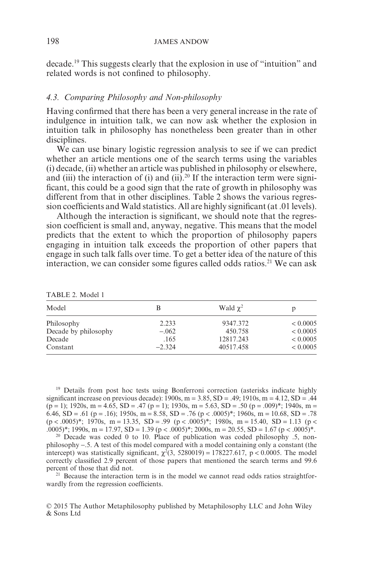decade.19 This suggests clearly that the explosion in use of "intuition" and related words is not confined to philosophy.

## *4.3. Comparing Philosophy and Non-philosophy*

Having confirmed that there has been a very general increase in the rate of indulgence in intuition talk, we can now ask whether the explosion in intuition talk in philosophy has nonetheless been greater than in other disciplines.

We can use binary logistic regression analysis to see if we can predict whether an article mentions one of the search terms using the variables (i) decade, (ii) whether an article was published in philosophy or elsewhere, and (iii) the interaction of (i) and (ii).<sup>20</sup> If the interaction term were significant, this could be a good sign that the rate of growth in philosophy was different from that in other disciplines. Table 2 shows the various regression coefficients and Wald statistics. All are highly significant (at .01 levels).

Although the interaction is significant, we should note that the regression coefficient is small and, anyway, negative. This means that the model predicts that the extent to which the proportion of philosophy papers engaging in intuition talk exceeds the proportion of other papers that engage in such talk falls over time. To get a better idea of the nature of this interaction, we can consider some figures called odds ratios.<sup>21</sup> We can ask

| Model                | В        | Wald $\gamma^2$ | р        |  |
|----------------------|----------|-----------------|----------|--|
| Philosophy           | 2.233    | 9347.372        | < 0.0005 |  |
| Decade by philosophy | $-.062$  | 450.758         | < 0.0005 |  |
| Decade               | .165     | 12817.243       | < 0.0005 |  |
| Constant             | $-2.324$ | 40517.458       | < 0.0005 |  |

TABLE 2. Model 1

<sup>19</sup> Details from post hoc tests using Bonferroni correction (asterisks indicate highly significant increase on previous decade):  $1900s$ , m =  $3.85$ , SD =  $.49$ ;  $1910s$ , m =  $4.12$ , SD =  $.44$  $(p = 1)$ ; 1920s, m = 4.65, SD = .47 (p = 1); 1930s, m = 5.63, SD = .50 (p = .009)\*; 1940s, m = 6.46, SD = .61 (p = .16); 1950s, m = 8.58, SD = .76 (p < .0005)\*; 1960s, m = 10.68, SD = .78  $(p < .0005)*$ ; 1970s, m = 13.35, SD = .99 (p < .0005)\*; 1980s, m = 15.40, SD = 1.13 (p < .0005)\*; 1990s, m = 17.97, SD = 1.39 (p < .0005)\*; 2000s, m = 20.55, SD = 1.67 (p < .0005)\*.

<sup>20</sup> Decade was coded 0 to 10. Place of publication was coded philosophy  $.5$ , nonphilosophy −.5. A test of this model compared with a model containing only a constant (the intercept) was statistically significant,  $\chi^2(3, 5280019) = 178227.617$ , p < 0.0005. The model correctly classified 2.9 percent of those papers that mentioned the search terms and 99.6 percent of those that did not.

 $21$  Because the interaction term is in the model we cannot read odds ratios straightforwardly from the regression coefficients.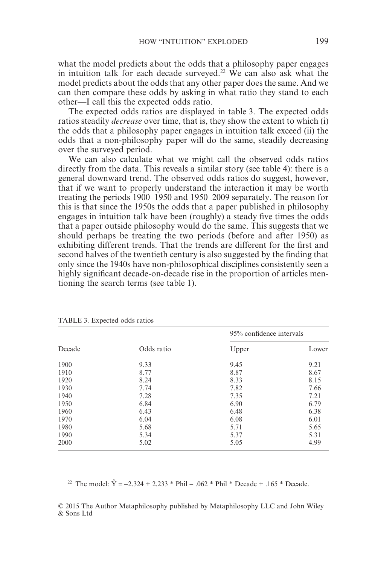what the model predicts about the odds that a philosophy paper engages in intuition talk for each decade surveyed.<sup>22</sup> We can also ask what the model predicts about the odds that any other paper does the same. And we can then compare these odds by asking in what ratio they stand to each other—I call this the expected odds ratio.

The expected odds ratios are displayed in table 3. The expected odds ratios steadily *decrease* over time, that is, they show the extent to which (i) the odds that a philosophy paper engages in intuition talk exceed (ii) the odds that a non-philosophy paper will do the same, steadily decreasing over the surveyed period.

We can also calculate what we might call the observed odds ratios directly from the data. This reveals a similar story (see table 4): there is a general downward trend. The observed odds ratios do suggest, however, that if we want to properly understand the interaction it may be worth treating the periods 1900–1950 and 1950–2009 separately. The reason for this is that since the 1950s the odds that a paper published in philosophy engages in intuition talk have been (roughly) a steady five times the odds that a paper outside philosophy would do the same. This suggests that we should perhaps be treating the two periods (before and after 1950) as exhibiting different trends. That the trends are different for the first and second halves of the twentieth century is also suggested by the finding that only since the 1940s have non-philosophical disciplines consistently seen a highly significant decade-on-decade rise in the proportion of articles mentioning the search terms (see table 1).

|        |            | 95% confidence intervals |       |  |  |
|--------|------------|--------------------------|-------|--|--|
| Decade | Odds ratio | Upper                    | Lower |  |  |
| 1900   | 9.33       | 9.45                     | 9.21  |  |  |
| 1910   | 8.77       | 8.87                     | 8.67  |  |  |
| 1920   | 8.24       | 8.33                     | 8.15  |  |  |
| 1930   | 7.74       | 7.82                     | 7.66  |  |  |
| 1940   | 7.28       | 7.35                     | 7.21  |  |  |
| 1950   | 6.84       | 6.90                     | 6.79  |  |  |
| 1960   | 6.43       | 6.48                     | 6.38  |  |  |
| 1970   | 6.04       | 6.08                     | 6.01  |  |  |
| 1980   | 5.68       | 5.71                     | 5.65  |  |  |
| 1990   | 5.34       | 5.37                     | 5.31  |  |  |
| 2000   | 5.02       | 5.05                     | 4.99  |  |  |

TABLE 3. Expected odds ratios

<sup>22</sup> The model:  $\hat{Y} = -2.324 + 2.233 * Phil - .062 * Phil * Decade + .165 * Decade$ .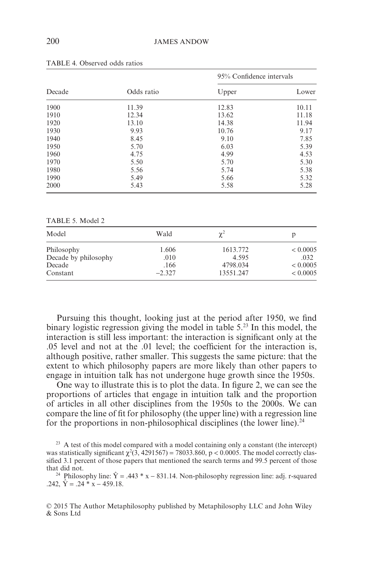| Decade |            | 95% Confidence intervals |       |  |  |
|--------|------------|--------------------------|-------|--|--|
|        | Odds ratio | Upper                    | Lower |  |  |
| 1900   | 11.39      | 12.83                    | 10.11 |  |  |
| 1910   | 12.34      | 13.62                    | 11.18 |  |  |
| 1920   | 13.10      | 14.38                    | 11.94 |  |  |
| 1930   | 9.93       | 10.76                    | 9.17  |  |  |
| 1940   | 8.45       | 9.10                     | 7.85  |  |  |
| 1950   | 5.70       | 6.03                     | 5.39  |  |  |
| 1960   | 4.75       | 4.99                     | 4.53  |  |  |
| 1970   | 5.50       | 5.70                     | 5.30  |  |  |
| 1980   | 5.56       | 5.74                     | 5.38  |  |  |
| 1990   | 5.49       | 5.66                     | 5.32  |  |  |
| 2000   | 5.43       | 5.58                     | 5.28  |  |  |

TABLE 4. Observed odds ratios

TABLE 5. Model 2

| Model                | Wald     | $\chi^2$  | р        |  |
|----------------------|----------|-----------|----------|--|
| Philosophy           | 1.606    | 1613.772  | < 0.0005 |  |
| Decade by philosophy | .010     | 4.595     | .032     |  |
| Decade               | .166     | 4798.034  | < 0.0005 |  |
| Constant             | $-2.327$ | 13551.247 | < 0.0005 |  |

Pursuing this thought, looking just at the period after 1950, we find binary logistic regression giving the model in table 5.<sup>23</sup> In this model, the interaction is still less important: the interaction is significant only at the .05 level and not at the .01 level; the coefficient for the interaction is, although positive, rather smaller. This suggests the same picture: that the extent to which philosophy papers are more likely than other papers to engage in intuition talk has not undergone huge growth since the 1950s.

One way to illustrate this is to plot the data. In figure 2, we can see the proportions of articles that engage in intuition talk and the proportion of articles in all other disciplines from the 1950s to the 2000s. We can compare the line of fit for philosophy (the upper line) with a regression line for the proportions in non-philosophical disciplines (the lower line).<sup>24</sup>

<sup>23</sup> A test of this model compared with a model containing only a constant (the intercept) was statistically significant  $\chi^2(3, 4291567) = 78033.860$ , p < 0.0005. The model correctly classified 3.1 percent of those papers that mentioned the search terms and 99.5 percent of those that did not.

<sup>24</sup> Philosophy line:  $\hat{Y} = .443 * x - 831.14$ . Non-philosophy regression line: adj. r-squared  $.242, \hat{Y} = .24 * x - 459.18.$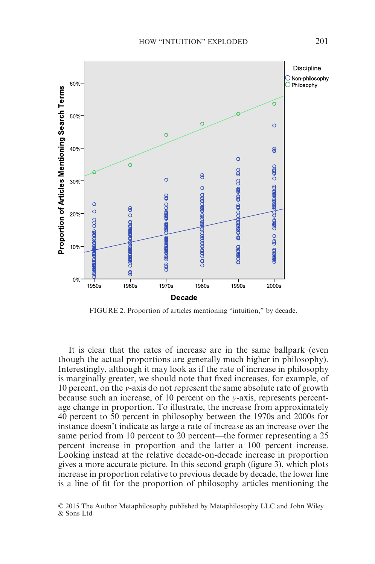

FIGURE 2. Proportion of articles mentioning "intuition," by decade.

It is clear that the rates of increase are in the same ballpark (even though the actual proportions are generally much higher in philosophy). Interestingly, although it may look as if the rate of increase in philosophy is marginally greater, we should note that fixed increases, for example, of 10 percent, on the *y*-axis do not represent the same absolute rate of growth because such an increase, of 10 percent on the *y*-axis, represents percentage change in proportion. To illustrate, the increase from approximately 40 percent to 50 percent in philosophy between the 1970s and 2000s for instance doesn't indicate as large a rate of increase as an increase over the same period from 10 percent to 20 percent—the former representing a 25 percent increase in proportion and the latter a 100 percent increase. Looking instead at the relative decade-on-decade increase in proportion gives a more accurate picture. In this second graph (figure 3), which plots increase in proportion relative to previous decade by decade, the lower line is a line of fit for the proportion of philosophy articles mentioning the

<sup>© 2015</sup> The Author Metaphilosophy published by Metaphilosophy LLC and John Wiley & Sons Ltd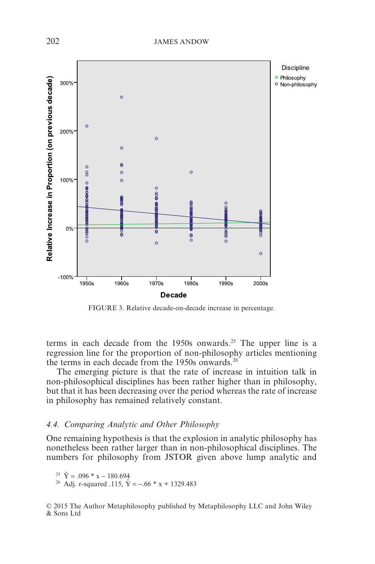

FIGURE 3. Relative decade-on-decade increase in percentage.

terms in each decade from the  $1950s$  onwards.<sup>25</sup> The upper line is a regression line for the proportion of non-philosophy articles mentioning the terms in each decade from the  $1950s$  onwards.<sup>26</sup>

The emerging picture is that the rate of increase in intuition talk in non-philosophical disciplines has been rather higher than in philosophy, but that it has been decreasing over the period whereas the rate of increase in philosophy has remained relatively constant.

### *4.4. Comparing Analytic and Other Philosophy*

One remaining hypothesis is that the explosion in analytic philosophy has nonetheless been rather larger than in non-philosophical disciplines. The numbers for philosophy from JSTOR given above lump analytic and

 $25 \hat{Y} = .096 * x - 180.694$ <sup>26</sup> Adj. r-squared .115,  $\hat{Y} = -.66 * x + 1329.483$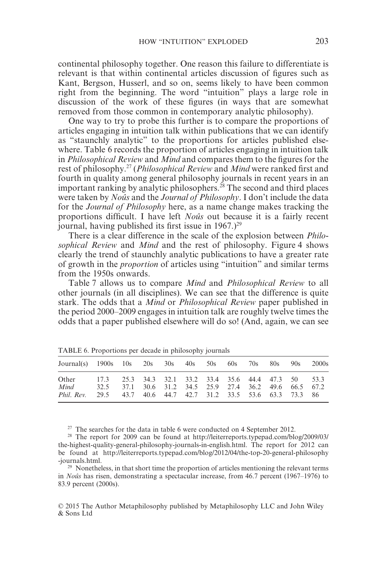continental philosophy together. One reason this failure to differentiate is relevant is that within continental articles discussion of figures such as Kant, Bergson, Husserl, and so on, seems likely to have been common right from the beginning. The word "intuition" plays a large role in discussion of the work of these figures (in ways that are somewhat removed from those common in contemporary analytic philosophy).

One way to try to probe this further is to compare the proportions of articles engaging in intuition talk within publications that we can identify as "staunchly analytic" to the proportions for articles published elsewhere. Table 6 records the proportion of articles engaging in intuition talk in *Philosophical Review* and *Mind* and compares them to the figures for the rest of philosophy.27 (*Philosophical Review* and *Mind* were ranked first and fourth in quality among general philosophy journals in recent years in an important ranking by analytic philosophers.<sup>28</sup> The second and third places were taken by *Noûs* and the *Journal of Philosophy*. I don't include the data for the *Journal of Philosophy* here, as a name change makes tracking the proportions difficult. I have left *Noûs* out because it is a fairly recent journal, having published its first issue in  $1967$ .)<sup>29</sup>

There is a clear difference in the scale of the explosion between *Philosophical Review* and *Mind* and the rest of philosophy. Figure 4 shows clearly the trend of staunchly analytic publications to have a greater rate of growth in the *proportion* of articles using "intuition" and similar terms from the 1950s onwards.

Table 7 allows us to compare *Mind* and *Philosophical Review* to all other journals (in all disciplines). We can see that the difference is quite stark. The odds that a *Mind* or *Philosophical Review* paper published in the period 2000–2009 engages in intuition talk are roughly twelve times the odds that a paper published elsewhere will do so! (And, again, we can see

| Journal(s) 1900s 10s 20s 30s 40s 50s 60s 70s 80s 90s 2000s                       |                                                                                                                |  |  |  |  |  |
|----------------------------------------------------------------------------------|----------------------------------------------------------------------------------------------------------------|--|--|--|--|--|
| Other<br>Mind<br>Phil. Rev. 29.5 43.7 40.6 44.7 42.7 31.2 33.5 53.6 63.3 73.3 86 | 17.3 25.3 34.3 32.1 33.2 33.4 35.6 44.4 47.3 50 53.3<br>32.5 37.1 30.6 31.2 34.5 25.9 27.4 36.2 49.6 66.5 67.2 |  |  |  |  |  |

TABLE 6. Proportions per decade in philosophy journals

 $27$  The searches for the data in table 6 were conducted on 4 September 2012.

<sup>28</sup> The report for 2009 can be found at http://leiterreports.typepad.com/blog/2009/03/ the-highest-quality-general-philosophy-journals-in-english.html. The report for 2012 can be found at http://leiterreports.typepad.com/blog/2012/04/the-top-20-general-philosophy -journals.html.

 $29$  Nonetheless, in that short time the proportion of articles mentioning the relevant terms in *Noûs* has risen, demonstrating a spectacular increase, from 46.7 percent (1967–1976) to 83.9 percent (2000s).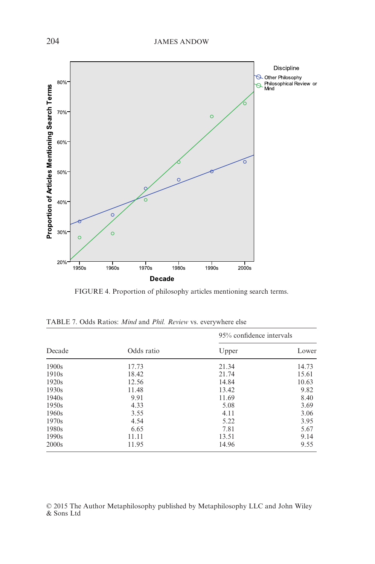

FIGURE 4. Proportion of philosophy articles mentioning search terms.

| Decade            |            | 95% confidence intervals |       |  |  |
|-------------------|------------|--------------------------|-------|--|--|
|                   | Odds ratio | Upper                    | Lower |  |  |
| 1900s             | 17.73      | 21.34                    | 14.73 |  |  |
| 1910s             | 18.42      | 21.74                    | 15.61 |  |  |
| 1920s             | 12.56      | 14.84                    | 10.63 |  |  |
| 1930s             | 11.48      | 13.42                    | 9.82  |  |  |
| 1940s             | 9.91       | 11.69                    | 8.40  |  |  |
| 1950s             | 4.33       | 5.08                     | 3.69  |  |  |
| 1960s             | 3.55       | 4.11                     | 3.06  |  |  |
| 1970s             | 4.54       | 5.22                     | 3.95  |  |  |
| 1980s             | 6.65       | 7.81                     | 5.67  |  |  |
| 1990s             | 11.11      | 13.51                    | 9.14  |  |  |
| 2000 <sub>s</sub> | 11.95      | 14.96                    | 9.55  |  |  |

TABLE 7. Odds Ratios: *Mind* and *Phil. Review* vs. everywhere else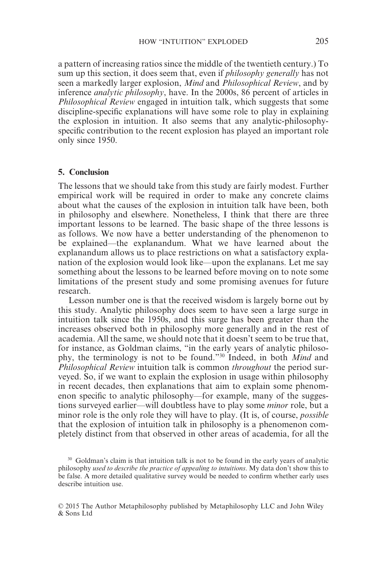a pattern of increasing ratios since the middle of the twentieth century.) To sum up this section, it does seem that, even if *philosophy generally* has not seen a markedly larger explosion, *Mind* and *Philosophical Review*, and by inference *analytic philosophy*, have. In the 2000s, 86 percent of articles in *Philosophical Review* engaged in intuition talk, which suggests that some discipline-specific explanations will have some role to play in explaining the explosion in intuition. It also seems that any analytic-philosophyspecific contribution to the recent explosion has played an important role only since 1950.

### **5. Conclusion**

The lessons that we should take from this study are fairly modest. Further empirical work will be required in order to make any concrete claims about what the causes of the explosion in intuition talk have been, both in philosophy and elsewhere. Nonetheless, I think that there are three important lessons to be learned. The basic shape of the three lessons is as follows. We now have a better understanding of the phenomenon to be explained—the explanandum. What we have learned about the explanandum allows us to place restrictions on what a satisfactory explanation of the explosion would look like—upon the explanans. Let me say something about the lessons to be learned before moving on to note some limitations of the present study and some promising avenues for future research.

Lesson number one is that the received wisdom is largely borne out by this study. Analytic philosophy does seem to have seen a large surge in intuition talk since the 1950s, and this surge has been greater than the increases observed both in philosophy more generally and in the rest of academia. All the same, we should note that it doesn't seem to be true that, for instance, as Goldman claims, "in the early years of analytic philosophy, the terminology is not to be found."30 Indeed, in both *Mind* and *Philosophical Review* intuition talk is common *throughout* the period surveyed. So, if we want to explain the explosion in usage within philosophy in recent decades, then explanations that aim to explain some phenomenon specific to analytic philosophy—for example, many of the suggestions surveyed earlier—will doubtless have to play some *minor* role, but a minor role is the only role they will have to play. (It is, of course, *possible* that the explosion of intuition talk in philosophy is a phenomenon completely distinct from that observed in other areas of academia, for all the

<sup>30</sup> Goldman's claim is that intuition talk is not to be found in the early years of analytic philosophy *used to describe the practice of appealing to intuitions*. My data don't show this to be false. A more detailed qualitative survey would be needed to confirm whether early uses describe intuition use.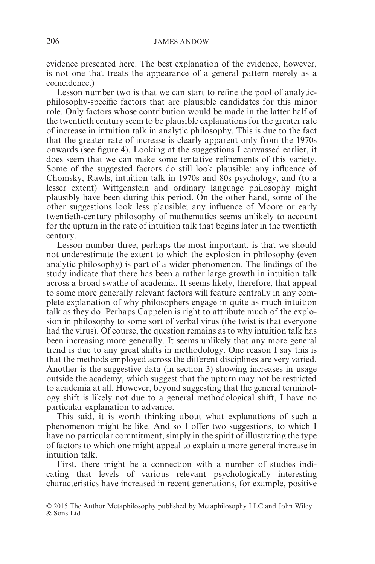evidence presented here. The best explanation of the evidence, however, is not one that treats the appearance of a general pattern merely as a coincidence.)

Lesson number two is that we can start to refine the pool of analyticphilosophy-specific factors that are plausible candidates for this minor role. Only factors whose contribution would be made in the latter half of the twentieth century seem to be plausible explanations for the greater rate of increase in intuition talk in analytic philosophy. This is due to the fact that the greater rate of increase is clearly apparent only from the 1970s onwards (see figure 4). Looking at the suggestions I canvassed earlier, it does seem that we can make some tentative refinements of this variety. Some of the suggested factors do still look plausible: any influence of Chomsky, Rawls, intuition talk in 1970s and 80s psychology, and (to a lesser extent) Wittgenstein and ordinary language philosophy might plausibly have been during this period. On the other hand, some of the other suggestions look less plausible; any influence of Moore or early twentieth-century philosophy of mathematics seems unlikely to account for the upturn in the rate of intuition talk that begins later in the twentieth century.

Lesson number three, perhaps the most important, is that we should not underestimate the extent to which the explosion in philosophy (even analytic philosophy) is part of a wider phenomenon. The findings of the study indicate that there has been a rather large growth in intuition talk across a broad swathe of academia. It seems likely, therefore, that appeal to some more generally relevant factors will feature centrally in any complete explanation of why philosophers engage in quite as much intuition talk as they do. Perhaps Cappelen is right to attribute much of the explosion in philosophy to some sort of verbal virus (the twist is that everyone had the virus). Of course, the question remains as to why intuition talk has been increasing more generally. It seems unlikely that any more general trend is due to any great shifts in methodology. One reason I say this is that the methods employed across the different disciplines are very varied. Another is the suggestive data (in section 3) showing increases in usage outside the academy, which suggest that the upturn may not be restricted to academia at all. However, beyond suggesting that the general terminology shift is likely not due to a general methodological shift, I have no particular explanation to advance.

This said, it is worth thinking about what explanations of such a phenomenon might be like. And so I offer two suggestions, to which I have no particular commitment, simply in the spirit of illustrating the type of factors to which one might appeal to explain a more general increase in intuition talk.

First, there might be a connection with a number of studies indicating that levels of various relevant psychologically interesting characteristics have increased in recent generations, for example, positive

<sup>© 2015</sup> The Author Metaphilosophy published by Metaphilosophy LLC and John Wiley & Sons Ltd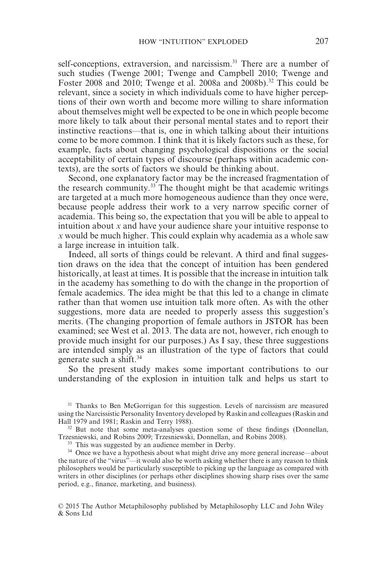self-conceptions, extraversion, and narcissism.<sup>31</sup> There are a number of such studies (Twenge 2001; Twenge and Campbell 2010; Twenge and Foster 2008 and 2010; Twenge et al. 2008a and 2008b).32 This could be relevant, since a society in which individuals come to have higher perceptions of their own worth and become more willing to share information about themselves might well be expected to be one in which people become more likely to talk about their personal mental states and to report their instinctive reactions—that is, one in which talking about their intuitions come to be more common. I think that it is likely factors such as these, for example, facts about changing psychological dispositions or the social acceptability of certain types of discourse (perhaps within academic contexts), are the sorts of factors we should be thinking about.

Second, one explanatory factor may be the increased fragmentation of the research community.33 The thought might be that academic writings are targeted at a much more homogeneous audience than they once were, because people address their work to a very narrow specific corner of academia. This being so, the expectation that you will be able to appeal to intuition about *x* and have your audience share your intuitive response to *x* would be much higher. This could explain why academia as a whole saw a large increase in intuition talk.

Indeed, all sorts of things could be relevant. A third and final suggestion draws on the idea that the concept of intuition has been gendered historically, at least at times. It is possible that the increase in intuition talk in the academy has something to do with the change in the proportion of female academics. The idea might be that this led to a change in climate rather than that women use intuition talk more often. As with the other suggestions, more data are needed to properly assess this suggestion's merits. (The changing proportion of female authors in JSTOR has been examined; see West et al. 2013. The data are not, however, rich enough to provide much insight for our purposes.) As I say, these three suggestions are intended simply as an illustration of the type of factors that could generate such a shift.<sup>34</sup>

So the present study makes some important contributions to our understanding of the explosion in intuition talk and helps us start to

<sup>31</sup> Thanks to Ben McGorrigan for this suggestion. Levels of narcissism are measured using the Narcissistic Personality Inventory developed by Raskin and colleagues (Raskin and Hall 1979 and 1981; Raskin and Terry 1988).

<sup>32</sup> But note that some meta-analyses question some of these findings (Donnellan, Trzesniewski, and Robins 2009; Trzesniewski, Donnellan, and Robins 2008).

<sup>33</sup> This was suggested by an audience member in Derby.

<sup>34</sup> Once we have a hypothesis about what might drive any more general increase—about the nature of the "virus"—it would also be worth asking whether there is any reason to think philosophers would be particularly susceptible to picking up the language as compared with writers in other disciplines (or perhaps other disciplines showing sharp rises over the same period, e.g., finance, marketing, and business).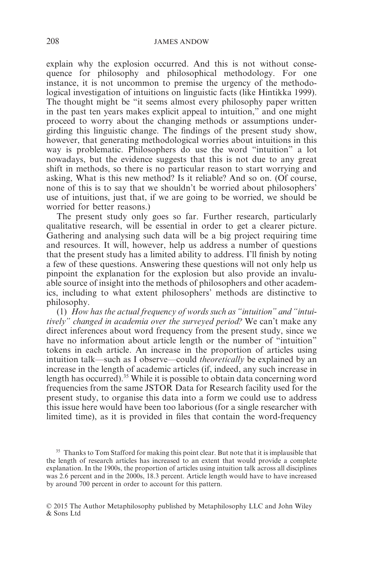explain why the explosion occurred. And this is not without consequence for philosophy and philosophical methodology. For one instance, it is not uncommon to premise the urgency of the methodological investigation of intuitions on linguistic facts (like Hintikka 1999). The thought might be "it seems almost every philosophy paper written in the past ten years makes explicit appeal to intuition," and one might proceed to worry about the changing methods or assumptions undergirding this linguistic change. The findings of the present study show, however, that generating methodological worries about intuitions in this way is problematic. Philosophers do use the word "intuition" a lot nowadays, but the evidence suggests that this is not due to any great shift in methods, so there is no particular reason to start worrying and asking, What is this new method? Is it reliable? And so on. (Of course, none of this is to say that we shouldn't be worried about philosophers' use of intuitions, just that, if we are going to be worried, we should be worried for better reasons.)

The present study only goes so far. Further research, particularly qualitative research, will be essential in order to get a clearer picture. Gathering and analysing such data will be a big project requiring time and resources. It will, however, help us address a number of questions that the present study has a limited ability to address. I'll finish by noting a few of these questions. Answering these questions will not only help us pinpoint the explanation for the explosion but also provide an invaluable source of insight into the methods of philosophers and other academics, including to what extent philosophers' methods are distinctive to philosophy.

(1) *How has the actual frequency of words such as "intuition" and "intuitively" changed in academia over the surveyed period?* We can't make any direct inferences about word frequency from the present study, since we have no information about article length or the number of "intuition" tokens in each article. An increase in the proportion of articles using intuition talk—such as I observe—could *theoretically* be explained by an increase in the length of academic articles (if, indeed, any such increase in length has occurred).<sup>35</sup> While it is possible to obtain data concerning word frequencies from the same JSTOR Data for Research facility used for the present study, to organise this data into a form we could use to address this issue here would have been too laborious (for a single researcher with limited time), as it is provided in files that contain the word-frequency

<sup>&</sup>lt;sup>35</sup> Thanks to Tom Stafford for making this point clear. But note that it is implausible that the length of research articles has increased to an extent that would provide a complete explanation. In the 1900s, the proportion of articles using intuition talk across all disciplines was 2.6 percent and in the 2000s, 18.3 percent. Article length would have to have increased by around 700 percent in order to account for this pattern.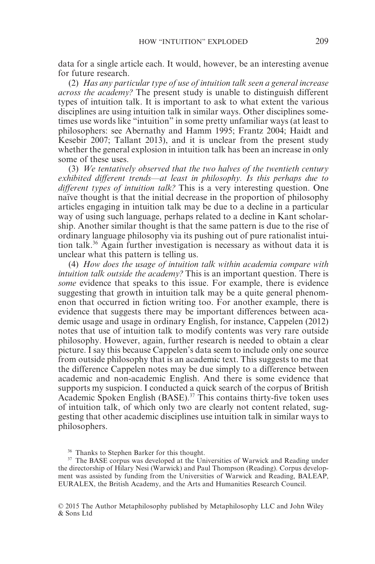data for a single article each. It would, however, be an interesting avenue for future research.

(2) *Has any particular type of use of intuition talk seen a general increase across the academy?* The present study is unable to distinguish different types of intuition talk. It is important to ask to what extent the various disciplines are using intuition talk in similar ways. Other disciplines sometimes use words like "intuition" in some pretty unfamiliar ways (at least to philosophers: see Abernathy and Hamm 1995; Frantz 2004; Haidt and Kesebir 2007; Tallant 2013), and it is unclear from the present study whether the general explosion in intuition talk has been an increase in only some of these uses.

(3) *We tentatively observed that the two halves of the twentieth century exhibited different trends—at least in philosophy. Is this perhaps due to different types of intuition talk?* This is a very interesting question. One naïve thought is that the initial decrease in the proportion of philosophy articles engaging in intuition talk may be due to a decline in a particular way of using such language, perhaps related to a decline in Kant scholarship. Another similar thought is that the same pattern is due to the rise of ordinary language philosophy via its pushing out of pure rationalist intuition talk.36 Again further investigation is necessary as without data it is unclear what this pattern is telling us.

(4) *How does the usage of intuition talk within academia compare with intuition talk outside the academy?* This is an important question. There is *some* evidence that speaks to this issue. For example, there is evidence suggesting that growth in intuition talk may be a quite general phenomenon that occurred in fiction writing too. For another example, there is evidence that suggests there may be important differences between academic usage and usage in ordinary English, for instance, Cappelen (2012) notes that use of intuition talk to modify contents was very rare outside philosophy. However, again, further research is needed to obtain a clear picture. I say this because Cappelen's data seem to include only one source from outside philosophy that is an academic text. This suggests to me that the difference Cappelen notes may be due simply to a difference between academic and non-academic English. And there is some evidence that supports my suspicion. I conducted a quick search of the corpus of British Academic Spoken English (BASE).<sup>37</sup> This contains thirty-five token uses of intuition talk, of which only two are clearly not content related, suggesting that other academic disciplines use intuition talk in similar ways to philosophers.

<sup>37</sup> The BASE corpus was developed at the Universities of Warwick and Reading under the directorship of Hilary Nesi (Warwick) and Paul Thompson (Reading). Corpus development was assisted by funding from the Universities of Warwick and Reading, BALEAP, EURALEX, the British Academy, and the Arts and Humanities Research Council.

<sup>&</sup>lt;sup>36</sup> Thanks to Stephen Barker for this thought.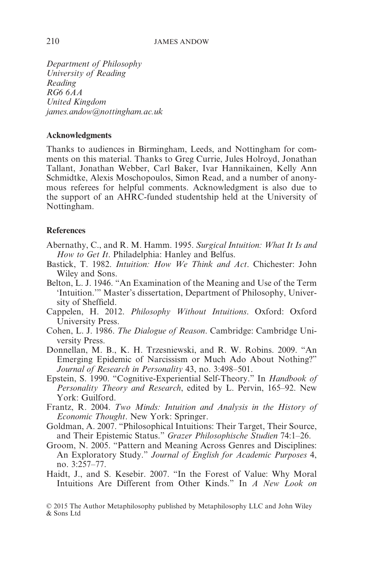*Department of Philosophy University of Reading Reading RG6 6AA United Kingdom james.andow@nottingham.ac.uk*

#### **Acknowledgments**

Thanks to audiences in Birmingham, Leeds, and Nottingham for comments on this material. Thanks to Greg Currie, Jules Holroyd, Jonathan Tallant, Jonathan Webber, Carl Baker, Ivar Hannikainen, Kelly Ann Schmidtke, Alexis Moschopoulos, Simon Read, and a number of anonymous referees for helpful comments. Acknowledgment is also due to the support of an AHRC-funded studentship held at the University of Nottingham.

# **References**

- Abernathy, C., and R. M. Hamm. 1995. *Surgical Intuition: What It Is and How to Get It*. Philadelphia: Hanley and Belfus.
- Bastick, T. 1982. *Intuition: How We Think and Act*. Chichester: John Wiley and Sons.
- Belton, L. J. 1946. "An Examination of the Meaning and Use of the Term 'Intuition.'" Master's dissertation, Department of Philosophy, University of Sheffield.
- Cappelen, H. 2012. *Philosophy Without Intuitions*. Oxford: Oxford University Press.
- Cohen, L. J. 1986. *The Dialogue of Reason*. Cambridge: Cambridge University Press.
- Donnellan, M. B., K. H. Trzesniewski, and R. W. Robins. 2009. "An Emerging Epidemic of Narcissism or Much Ado About Nothing?" *Journal of Research in Personality* 43, no. 3:498–501.
- Epstein, S. 1990. "Cognitive-Experiential Self-Theory." In *Handbook of Personality Theory and Research*, edited by L. Pervin, 165–92. New York: Guilford.
- Frantz, R. 2004. *Two Minds: Intuition and Analysis in the History of Economic Thought*. New York: Springer.
- Goldman, A. 2007. "Philosophical Intuitions: Their Target, Their Source, and Their Epistemic Status." *Grazer Philosophische Studien* 74:1–26.
- Groom, N. 2005. "Pattern and Meaning Across Genres and Disciplines: An Exploratory Study." *Journal of English for Academic Purposes* 4, no. 3:257–77.
- Haidt, J., and S. Kesebir. 2007. "In the Forest of Value: Why Moral Intuitions Are Different from Other Kinds." In *A New Look on*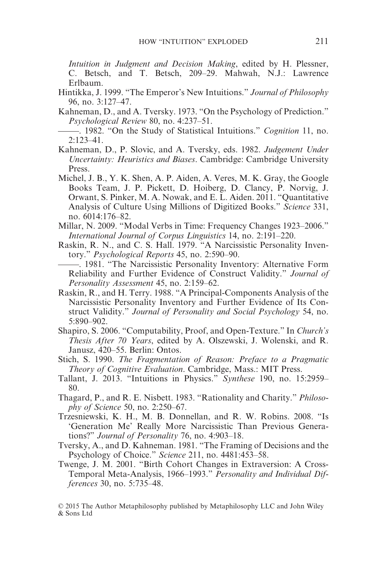*Intuition in Judgment and Decision Making*, edited by H. Plessner, C. Betsch, and T. Betsch, 209–29. Mahwah, N.J.: Lawrence Erlbaum.

- Hintikka, J. 1999. "The Emperor's New Intuitions." *Journal of Philosophy* 96, no. 3:127–47.
- Kahneman, D., and A. Tversky. 1973. "On the Psychology of Prediction." *Psychological Review* 80, no. 4:237–51.
- . 1982. "On the Study of Statistical Intuitions." *Cognition* 11, no. 2:123–41.
- Kahneman, D., P. Slovic, and A. Tversky, eds. 1982. *Judgement Under Uncertainty: Heuristics and Biases*. Cambridge: Cambridge University Press.
- Michel, J. B., Y. K. Shen, A. P. Aiden, A. Veres, M. K. Gray, the Google Books Team, J. P. Pickett, D. Hoiberg, D. Clancy, P. Norvig, J. Orwant, S. Pinker, M. A. Nowak, and E. L. Aiden. 2011. "Quantitative Analysis of Culture Using Millions of Digitized Books." *Science* 331, no. 6014:176–82.
- Millar, N. 2009. "Modal Verbs in Time: Frequency Changes 1923–2006." *International Journal of Corpus Linguistics* 14, no. 2:191–220.
- Raskin, R. N., and C. S. Hall. 1979. "A Narcissistic Personality Inventory." *Psychological Reports* 45, no. 2:590–90.
- . 1981. "The Narcissistic Personality Inventory: Alternative Form Reliability and Further Evidence of Construct Validity." *Journal of Personality Assessment* 45, no. 2:159–62.
- Raskin, R., and H. Terry. 1988. "A Principal-Components Analysis of the Narcissistic Personality Inventory and Further Evidence of Its Construct Validity." *Journal of Personality and Social Psychology* 54, no. 5:890–902.
- Shapiro, S. 2006. "Computability, Proof, and Open-Texture." In *Church's Thesis After 70 Years*, edited by A. Olszewski, J. Wolenski, and R. Janusz, 420–55. Berlin: Ontos.
- Stich, S. 1990. *The Fragmentation of Reason: Preface to a Pragmatic Theory of Cognitive Evaluation*. Cambridge, Mass.: MIT Press.
- Tallant, J. 2013. "Intuitions in Physics." *Synthese* 190, no. 15:2959– 80.
- Thagard, P., and R. E. Nisbett. 1983. "Rationality and Charity." *Philosophy of Science* 50, no. 2:250–67.
- Trzesniewski, K. H., M. B. Donnellan, and R. W. Robins. 2008. "Is 'Generation Me' Really More Narcissistic Than Previous Generations?" *Journal of Personality* 76, no. 4:903–18.
- Tversky, A., and D. Kahneman. 1981. "The Framing of Decisions and the Psychology of Choice." *Science* 211, no. 4481:453–58.
- Twenge, J. M. 2001. "Birth Cohort Changes in Extraversion: A Cross-Temporal Meta-Analysis, 1966–1993." *Personality and Individual Differences* 30, no. 5:735–48.